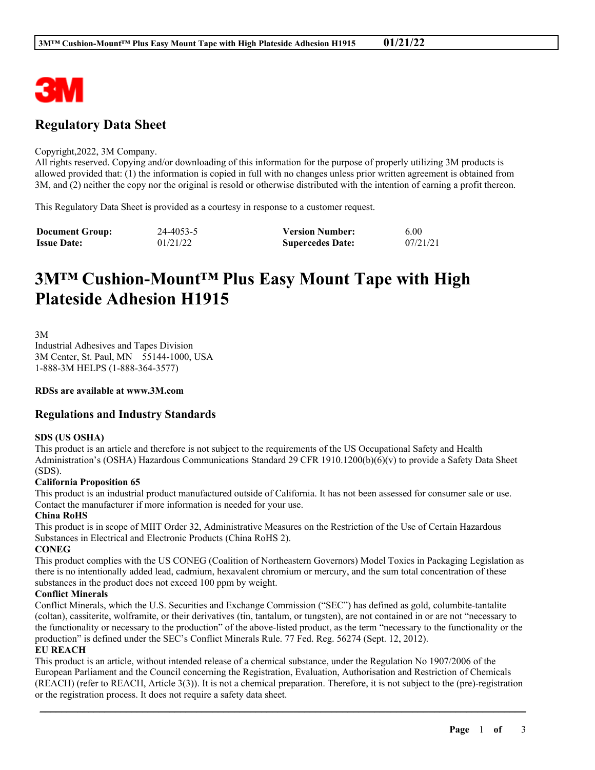

## **Regulatory Data Sheet**

#### Copyright,2022, 3M Company.

All rights reserved. Copying and/or downloading of this information for the purpose of properly utilizing 3M products is allowed provided that: (1) the information is copied in full with no changes unless prior written agreement is obtained from 3M, and (2) neither the copy nor the original is resold or otherwise distributed with the intention of earning a profit thereon.

This Regulatory Data Sheet is provided as a courtesy in response to a customer request.

| <b>Document Group:</b> | 24-4053-5 | <b>Version Number:</b>  | 6.00     |
|------------------------|-----------|-------------------------|----------|
| <b>Issue Date:</b>     | 01/21/22  | <b>Supercedes Date:</b> | 07/21/21 |

# **3M™ Cushion-Mount™ Plus Easy Mount Tape with High Plateside Adhesion H1915**

3M

Industrial Adhesives and Tapes Division 3M Center, St. Paul, MN 55144-1000, USA 1-888-3M HELPS (1-888-364-3577)

**RDSs are available at www.3M.com**

## **Regulations and Industry Standards**

#### **SDS (US OSHA)**

This product is an article and therefore is not subject to the requirements of the US Occupational Safety and Health Administration's (OSHA) Hazardous Communications Standard 29 CFR 1910.1200(b)(6)(v) to provide a Safety Data Sheet (SDS).

#### **California Proposition 65**

This product is an industrial product manufactured outside of California. It has not been assessed for consumer sale or use. Contact the manufacturer if more information is needed for your use.

#### **China RoHS**

This product is in scope of MIIT Order 32, Administrative Measures on the Restriction of the Use of Certain Hazardous Substances in Electrical and Electronic Products (China RoHS 2).

#### **CONEG**

This product complies with the US CONEG (Coalition of Northeastern Governors) Model Toxics in Packaging Legislation as there is no intentionally added lead, cadmium, hexavalent chromium or mercury, and the sum total concentration of these substances in the product does not exceed 100 ppm by weight.

#### **Conflict Minerals**

Conflict Minerals, which the U.S. Securities and Exchange Commission ("SEC") has defined as gold, columbite-tantalite (coltan), cassiterite, wolframite, or their derivatives (tin, tantalum, or tungsten), are not contained in or are not "necessary to the functionality or necessary to the production" of the above-listed product, as the term "necessary to the functionality or the production" is defined under the SEC's Conflict Minerals Rule. 77 Fed. Reg. 56274 (Sept. 12, 2012).

#### **EU REACH**

This product is an article, without intended release of a chemical substance, under the Regulation No 1907/2006 of the European Parliament and the Council concerning the Registration, Evaluation, Authorisation and Restriction of Chemicals (REACH) (refer to REACH, Article 3(3)). It is not a chemical preparation. Therefore, it is not subject to the (pre)-registration or the registration process. It does not require a safety data sheet.

\_\_\_\_\_\_\_\_\_\_\_\_\_\_\_\_\_\_\_\_\_\_\_\_\_\_\_\_\_\_\_\_\_\_\_\_\_\_\_\_\_\_\_\_\_\_\_\_\_\_\_\_\_\_\_\_\_\_\_\_\_\_\_\_\_\_\_\_\_\_\_\_\_\_\_\_\_\_\_\_\_\_\_\_\_\_\_\_\_\_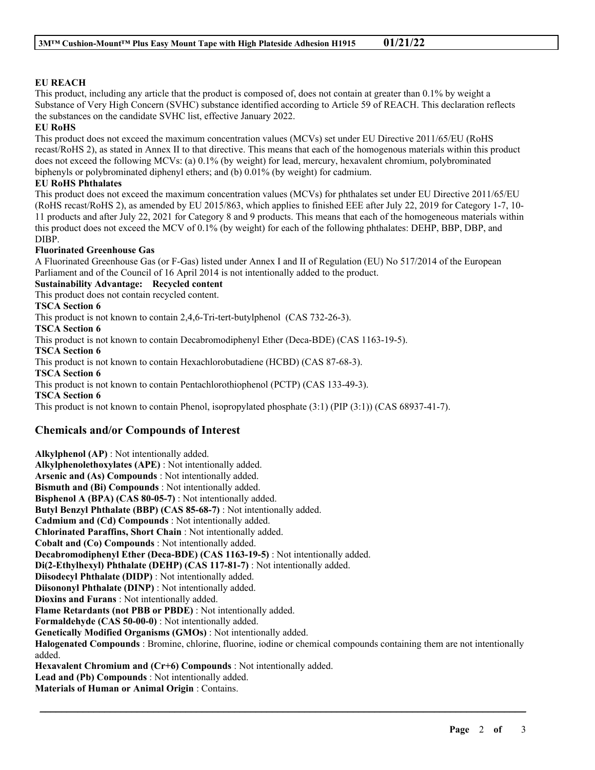## **EU REACH**

This product, including any article that the product is composed of, does not contain at greater than 0.1% by weight a Substance of Very High Concern (SVHC) substance identified according to Article 59 of REACH. This declaration reflects the substances on the candidate SVHC list, effective January 2022.

#### **EU RoHS**

This product does not exceed the maximum concentration values (MCVs) set under EU Directive 2011/65/EU (RoHS recast/RoHS 2), as stated in Annex II to that directive. This means that each of the homogenous materials within this product does not exceed the following MCVs: (a) 0.1% (by weight) for lead, mercury, hexavalent chromium, polybrominated biphenyls or polybrominated diphenyl ethers; and (b) 0.01% (by weight) for cadmium.

#### **EU RoHS Phthalates**

This product does not exceed the maximum concentration values (MCVs) for phthalates set under EU Directive 2011/65/EU (RoHS recast/RoHS 2), as amended by EU 2015/863, which applies to finished EEE after July 22, 2019 for Category 1-7, 10- 11 products and after July 22, 2021 for Category 8 and 9 products. This means that each of the homogeneous materials within this product does not exceed the MCV of 0.1% (by weight) for each of the following phthalates: DEHP, BBP, DBP, and DIBP.

#### **Fluorinated Greenhouse Gas**

A Fluorinated Greenhouse Gas (or F-Gas) listed under Annex I and II of Regulation (EU) No 517/2014 of the European Parliament and of the Council of 16 April 2014 is not intentionally added to the product.

## **Sustainability Advantage: Recycled content**

This product does not contain recycled content.

## **TSCA Section 6**

This product is not known to contain 2,4,6-Tri-tert-butylphenol (CAS 732-26-3).

#### **TSCA Section 6**

This product is not known to contain Decabromodiphenyl Ether (Deca-BDE) (CAS 1163-19-5).

**TSCA Section 6**

This product is not known to contain Hexachlorobutadiene (HCBD) (CAS 87-68-3).

**TSCA Section 6**

This product is not known to contain Pentachlorothiophenol (PCTP) (CAS 133-49-3).

**TSCA Section 6**

This product is not known to contain Phenol, isopropylated phosphate (3:1) (PIP (3:1)) (CAS 68937-41-7).

## **Chemicals and/or Compounds of Interest**

**Alkylphenol (AP)** : Not intentionally added. **Alkylphenolethoxylates (APE)** : Not intentionally added. **Arsenic and (As) Compounds** : Not intentionally added. **Bismuth and (Bi) Compounds** : Not intentionally added. **Bisphenol A (BPA) (CAS 80-05-7)** : Not intentionally added. **Butyl Benzyl Phthalate (BBP) (CAS 85-68-7)** : Not intentionally added. **Cadmium and (Cd) Compounds** : Not intentionally added. **Chlorinated Paraffins, Short Chain** : Not intentionally added. **Cobalt and (Co) Compounds** : Not intentionally added. **Decabromodiphenyl Ether (Deca-BDE) (CAS 1163-19-5)** : Not intentionally added. **Di(2-Ethylhexyl) Phthalate (DEHP) (CAS 117-81-7)** : Not intentionally added. **Diisodecyl Phthalate (DIDP)** : Not intentionally added. **Diisononyl Phthalate (DINP)** : Not intentionally added. **Dioxins and Furans** : Not intentionally added. **Flame Retardants (not PBB or PBDE)** : Not intentionally added. **Formaldehyde (CAS 50-00-0)** : Not intentionally added. **Genetically Modified Organisms (GMOs)** : Not intentionally added. **Halogenated Compounds** : Bromine, chlorine, fluorine, iodine or chemical compounds containing them are not intentionally added. **Hexavalent Chromium and (Cr+6) Compounds** : Not intentionally added. **Lead and (Pb) Compounds** : Not intentionally added. **Materials of Human or Animal Origin** : Contains.

\_\_\_\_\_\_\_\_\_\_\_\_\_\_\_\_\_\_\_\_\_\_\_\_\_\_\_\_\_\_\_\_\_\_\_\_\_\_\_\_\_\_\_\_\_\_\_\_\_\_\_\_\_\_\_\_\_\_\_\_\_\_\_\_\_\_\_\_\_\_\_\_\_\_\_\_\_\_\_\_\_\_\_\_\_\_\_\_\_\_